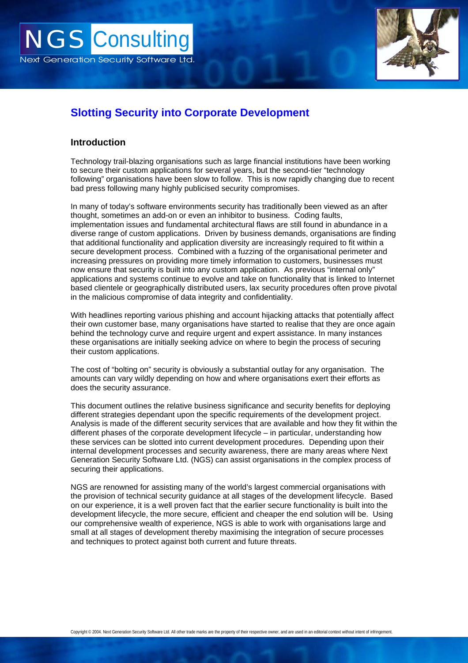

# **Slotting Security into Corporate Development**

### **Introduction**

Technology trail-blazing organisations such as large financial institutions have been working to secure their custom applications for several years, but the second-tier "technology following" organisations have been slow to follow. This is now rapidly changing due to recent bad press following many highly publicised security compromises.

In many of today's software environments security has traditionally been viewed as an after thought, sometimes an add-on or even an inhibitor to business. Coding faults, implementation issues and fundamental architectural flaws are still found in abundance in a diverse range of custom applications. Driven by business demands, organisations are finding that additional functionality and application diversity are increasingly required to fit within a secure development process. Combined with a fuzzing of the organisational perimeter and increasing pressures on providing more timely information to customers, businesses must now ensure that security is built into any custom application. As previous "internal only" applications and systems continue to evolve and take on functionality that is linked to Internet based clientele or geographically distributed users, lax security procedures often prove pivotal in the malicious compromise of data integrity and confidentiality.

With headlines reporting various phishing and account hijacking attacks that potentially affect their own customer base, many organisations have started to realise that they are once again behind the technology curve and require urgent and expert assistance. In many instances these organisations are initially seeking advice on where to begin the process of securing their custom applications.

The cost of "bolting on" security is obviously a substantial outlay for any organisation. The amounts can vary wildly depending on how and where organisations exert their efforts as does the security assurance.

This document outlines the relative business significance and security benefits for deploying different strategies dependant upon the specific requirements of the development project. Analysis is made of the different security services that are available and how they fit within the different phases of the corporate development lifecycle – in particular, understanding how these services can be slotted into current development procedures. Depending upon their internal development processes and security awareness, there are many areas where Next Generation Security Software Ltd. (NGS) can assist organisations in the complex process of securing their applications.

NGS are renowned for assisting many of the world's largest commercial organisations with the provision of technical security guidance at all stages of the development lifecycle. Based on our experience, it is a well proven fact that the earlier secure functionality is built into the development lifecycle, the more secure, efficient and cheaper the end solution will be. Using our comprehensive wealth of experience, NGS is able to work with organisations large and small at all stages of development thereby maximising the integration of secure processes and techniques to protect against both current and future threats.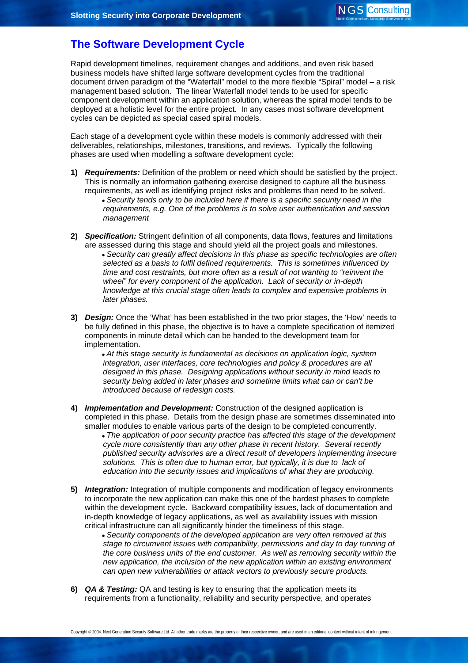## **The Software Development Cycle**

Rapid development timelines, requirement changes and additions, and even risk based business models have shifted large software development cycles from the traditional document driven paradigm of the "Waterfall" model to the more flexible "Spiral" model – a risk management based solution. The linear Waterfall model tends to be used for specific component development within an application solution, whereas the spiral model tends to be deployed at a holistic level for the entire project. In any cases most software development cycles can be depicted as special cased spiral models.

Each stage of a development cycle within these models is commonly addressed with their deliverables, relationships, milestones, transitions, and reviews. Typically the following phases are used when modelling a software development cycle:

- **1)** *Requirements:* Definition of the problem or need which should be satisfied by the project. This is normally an information gathering exercise designed to capture all the business requirements, as well as identifying project risks and problems than need to be solved.
	- *Security tends only to be included here if there is a specific security need in the requirements, e.g. One of the problems is to solve user authentication and session management*
- **2)** *Specification:* Stringent definition of all components, data flows, features and limitations are assessed during this stage and should yield all the project goals and milestones.
	- *Security can greatly affect decisions in this phase as specific technologies are often selected as a basis to fulfil defined requirements. This is sometimes influenced by time and cost restraints, but more often as a result of not wanting to "reinvent the wheel" for every component of the application. Lack of security or in-depth knowledge at this crucial stage often leads to complex and expensive problems in later phases.*
- **3)** *Design:* Once the 'What' has been established in the two prior stages, the 'How' needs to be fully defined in this phase, the objective is to have a complete specification of itemized components in minute detail which can be handed to the development team for implementation.

• *At this stage security is fundamental as decisions on application logic, system integration, user interfaces, core technologies and policy & procedures are all designed in this phase. Designing applications without security in mind leads to security being added in later phases and sometime limits what can or can't be introduced because of redesign costs.* 

- **4)** *Implementation and Development:* Construction of the designed application is completed in this phase. Details from the design phase are sometimes disseminated into smaller modules to enable various parts of the design to be completed concurrently.
	- *The application of poor security practice has affected this stage of the development cycle more consistently than any other phase in recent history. Several recently published security advisories are a direct result of developers implementing insecure solutions. This is often due to human error, but typically, it is due to lack of education into the security issues and implications of what they are producing.*
- **5)** *Integration:* Integration of multiple components and modification of legacy environments to incorporate the new application can make this one of the hardest phases to complete within the development cycle. Backward compatibility issues, lack of documentation and in-depth knowledge of legacy applications, as well as availability issues with mission critical infrastructure can all significantly hinder the timeliness of this stage.
	- *Security components of the developed application are very often removed at this stage to circumvent issues with compatibility, permissions and day to day running of the core business units of the end customer. As well as removing security within the new application, the inclusion of the new application within an existing environment can open new vulnerabilities or attack vectors to previously secure products.*
- **6)** *QA & Testing:* QA and testing is key to ensuring that the application meets its requirements from a functionality, reliability and security perspective, and operates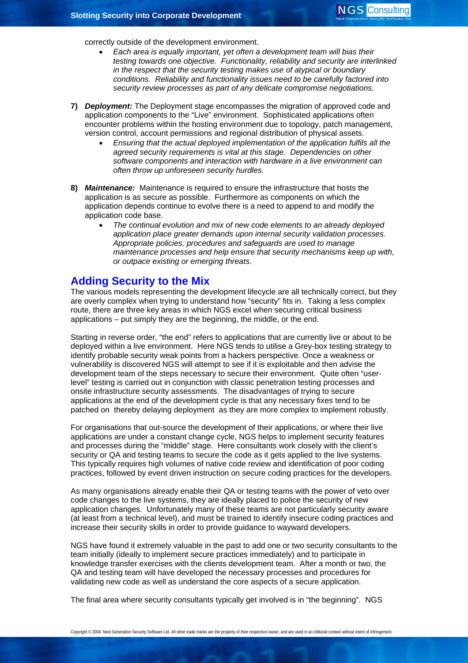correctly outside of the development environment.

- *Each area is equally important, yet often a development team will bias their testing towards one objective. Functionality, reliability and security are interlinked in the respect that the security testing makes use of atypical or boundary conditions. Reliability and functionality issues need to be carefully factored into security review processes as part of any delicate compromise negotiations.*
- **7)** *Deployment:* The Deployment stage encompasses the migration of approved code and application components to the "Live" environment. Sophisticated applications often encounter problems within the hosting environment due to topology, patch management, version control, account permissions and regional distribution of physical assets.
	- *Ensuring that the actual deployed implementation of the application fulfils all the agreed security requirements is vital at this stage. Dependencies on other software components and interaction with hardware in a live environment can often throw up unforeseen security hurdles.*
- **8)** *Maintenance:* Maintenance is required to ensure the infrastructure that hosts the application is as secure as possible. Furthermore as components on which the application depends continue to evolve there is a need to append to and modify the application code base.
	- *The continual evolution and mix of new code elements to an already deployed application place greater demands upon internal security validation processes. Appropriate policies, procedures and safeguards are used to manage maintenance processes and help ensure that security mechanisms keep up with, or outpace existing or emerging threats.*

## **Adding Security to the Mix**

The various models representing the development lifecycle are all technically correct, but they are overly complex when trying to understand how "security" fits in. Taking a less complex route, there are three key areas in which NGS excel when securing critical business applications – put simply they are the beginning, the middle, or the end.

Starting in reverse order, "the end" refers to applications that are currently live or about to be deployed within a live environment. Here NGS tends to utilise a Grey-box testing strategy to identify probable security weak points from a hackers perspective. Once a weakness or vulnerability is discovered NGS will attempt to see if it is exploitable and then advise the development team of the steps necessary to secure their environment. Quite often "userlevel" testing is carried out in conjunction with classic penetration testing processes and onsite infrastructure security assessments. The disadvantages of trying to secure applications at the end of the development cycle is that any necessary fixes tend to be patched on thereby delaying deployment as they are more complex to implement robustly.

For organisations that out-source the development of their applications, or where their live applications are under a constant change cycle, NGS helps to implement security features and processes during the "middle" stage. Here consultants work closely with the client's security or QA and testing teams to secure the code as it gets applied to the live systems. This typically requires high volumes of native code review and identification of poor coding practices, followed by event driven instruction on secure coding practices for the developers.

As many organisations already enable their QA or testing teams with the power of veto over code changes to the live systems, they are ideally placed to police the security of new application changes. Unfortunately many of these teams are not particularly security aware (at least from a technical level), and must be trained to identify insecure coding practices and increase their security skills in order to provide guidance to wayward developers.

NGS have found it extremely valuable in the past to add one or two security consultants to the team initially (ideally to implement secure practices immediately) and to participate in knowledge transfer exercises with the clients development team. After a month or two, the QA and testing team will have developed the necessary processes and procedures for validating new code as well as understand the core aspects of a secure application.

The final area where security consultants typically get involved is in "the beginning". NGS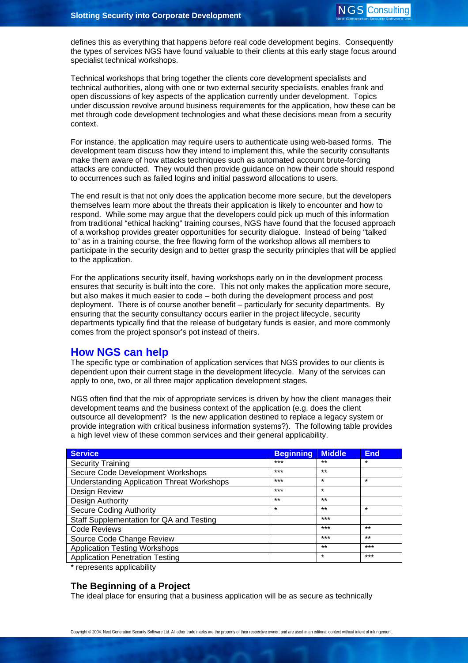defines this as everything that happens before real code development begins. Consequently the types of services NGS have found valuable to their clients at this early stage focus around specialist technical workshops.

Technical workshops that bring together the clients core development specialists and technical authorities, along with one or two external security specialists, enables frank and open discussions of key aspects of the application currently under development. Topics under discussion revolve around business requirements for the application, how these can be met through code development technologies and what these decisions mean from a security context.

For instance, the application may require users to authenticate using web-based forms. The development team discuss how they intend to implement this, while the security consultants make them aware of how attacks techniques such as automated account brute-forcing attacks are conducted. They would then provide guidance on how their code should respond to occurrences such as failed logins and initial password allocations to users.

The end result is that not only does the application become more secure, but the developers themselves learn more about the threats their application is likely to encounter and how to respond. While some may argue that the developers could pick up much of this information from traditional "ethical hacking" training courses, NGS have found that the focused approach of a workshop provides greater opportunities for security dialogue. Instead of being "talked to" as in a training course, the free flowing form of the workshop allows all members to participate in the security design and to better grasp the security principles that will be applied to the application.

For the applications security itself, having workshops early on in the development process ensures that security is built into the core. This not only makes the application more secure, but also makes it much easier to code – both during the development process and post deployment. There is of course another benefit – particularly for security departments. By ensuring that the security consultancy occurs earlier in the project lifecycle, security departments typically find that the release of budgetary funds is easier, and more commonly comes from the project sponsor's pot instead of theirs.

## **How NGS can help**

The specific type or combination of application services that NGS provides to our clients is dependent upon their current stage in the development lifecycle. Many of the services can apply to one, two, or all three major application development stages.

NGS often find that the mix of appropriate services is driven by how the client manages their development teams and the business context of the application (e.g. does the client outsource all development? Is the new application destined to replace a legacy system or provide integration with critical business information systems?). The following table provides a high level view of these common services and their general applicability.

| <b>Service</b>                                    | <b>Beginning</b> | <b>Middle</b> | <b>End</b> |
|---------------------------------------------------|------------------|---------------|------------|
| <b>Security Training</b>                          | $***$            | $***$         | $\star$    |
| Secure Code Development Workshops                 | $***$            | $***$         |            |
| <b>Understanding Application Threat Workshops</b> | $***$            | $\star$       | $\star$    |
| Design Review                                     | $***$            | $\star$       |            |
| Design Authority                                  | $***$            | $***$         |            |
| Secure Coding Authority                           | $\star$          | $***$         | $\star$    |
| Staff Supplementation for QA and Testing          |                  | $***$         |            |
| <b>Code Reviews</b>                               |                  | $***$         | $***$      |
| Source Code Change Review                         |                  | $***$         | $***$      |
| <b>Application Testing Workshops</b>              |                  | $***$         | $***$      |
| <b>Application Penetration Testing</b>            |                  | $\star$       | $***$      |

\* represents applicability

## **The Beginning of a Project**

The ideal place for ensuring that a business application will be as secure as technically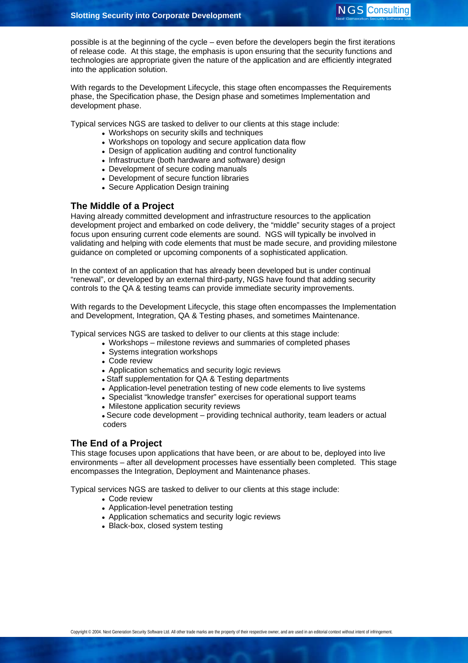possible is at the beginning of the cycle – even before the developers begin the first iterations of release code. At this stage, the emphasis is upon ensuring that the security functions and technologies are appropriate given the nature of the application and are efficiently integrated into the application solution.

With regards to the Development Lifecycle, this stage often encompasses the Requirements phase, the Specification phase, the Design phase and sometimes Implementation and development phase.

Typical services NGS are tasked to deliver to our clients at this stage include:

- Workshops on security skills and techniques
- Workshops on topology and secure application data flow
- Design of application auditing and control functionality
- Infrastructure (both hardware and software) design
- Development of secure coding manuals
- Development of secure function libraries
- Secure Application Design training

#### **The Middle of a Project**

Having already committed development and infrastructure resources to the application development project and embarked on code delivery, the "middle" security stages of a project focus upon ensuring current code elements are sound. NGS will typically be involved in validating and helping with code elements that must be made secure, and providing milestone guidance on completed or upcoming components of a sophisticated application.

In the context of an application that has already been developed but is under continual "renewal", or developed by an external third-party, NGS have found that adding security controls to the QA & testing teams can provide immediate security improvements.

With regards to the Development Lifecycle, this stage often encompasses the Implementation and Development, Integration, QA & Testing phases, and sometimes Maintenance.

Typical services NGS are tasked to deliver to our clients at this stage include:

- Workshops milestone reviews and summaries of completed phases
	- Systems integration workshops
	- Code review
	- Application schematics and security logic reviews
	- Staff supplementation for QA & Testing departments
	- Application-level penetration testing of new code elements to live systems
	- Specialist "knowledge transfer" exercises for operational support teams
	- Milestone application security reviews
	- Secure code development providing technical authority, team leaders or actual coders

#### **The End of a Project**

This stage focuses upon applications that have been, or are about to be, deployed into live environments – after all development processes have essentially been completed. This stage encompasses the Integration, Deployment and Maintenance phases.

Typical services NGS are tasked to deliver to our clients at this stage include:

- Code review
- Application-level penetration testing
- Application schematics and security logic reviews
- Black-box, closed system testing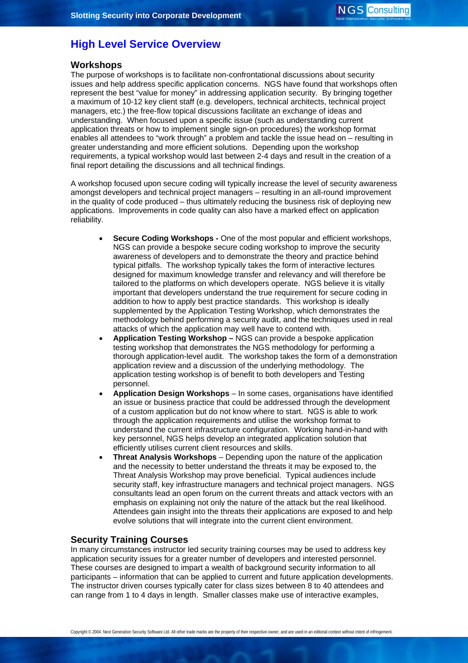## **High Level Service Overview**

## **Workshops**

The purpose of workshops is to facilitate non-confrontational discussions about security issues and help address specific application concerns. NGS have found that workshops often represent the best "value for money" in addressing application security. By bringing together a maximum of 10-12 key client staff (e.g. developers, technical architects, technical project managers, etc.) the free-flow topical discussions facilitate an exchange of ideas and understanding. When focused upon a specific issue (such as understanding current application threats or how to implement single sign-on procedures) the workshop format enables all attendees to "work through" a problem and tackle the issue head on – resulting in greater understanding and more efficient solutions. Depending upon the workshop requirements, a typical workshop would last between 2-4 days and result in the creation of a final report detailing the discussions and all technical findings.

A workshop focused upon secure coding will typically increase the level of security awareness amongst developers and technical project managers – resulting in an all-round improvement in the quality of code produced – thus ultimately reducing the business risk of deploying new applications. Improvements in code quality can also have a marked effect on application reliability.

- **Secure Coding Workshops One of the most popular and efficient workshops.** NGS can provide a bespoke secure coding workshop to improve the security awareness of developers and to demonstrate the theory and practice behind typical pitfalls. The workshop typically takes the form of interactive lectures designed for maximum knowledge transfer and relevancy and will therefore be tailored to the platforms on which developers operate. NGS believe it is vitally important that developers understand the true requirement for secure coding in addition to how to apply best practice standards. This workshop is ideally supplemented by the Application Testing Workshop, which demonstrates the methodology behind performing a security audit, and the techniques used in real attacks of which the application may well have to contend with.
- **Application Testing Workshop** NGS can provide a bespoke application testing workshop that demonstrates the NGS methodology for performing a thorough application-level audit. The workshop takes the form of a demonstration application review and a discussion of the underlying methodology. The application testing workshop is of benefit to both developers and Testing personnel.
- **Application Design Workshops** In some cases, organisations have identified an issue or business practice that could be addressed through the development of a custom application but do not know where to start. NGS is able to work through the application requirements and utilise the workshop format to understand the current infrastructure configuration. Working hand-in-hand with key personnel, NGS helps develop an integrated application solution that efficiently utilises current client resources and skills.
- **Threat Analysis Workshops**  Depending upon the nature of the application and the necessity to better understand the threats it may be exposed to, the Threat Analysis Workshop may prove beneficial. Typical audiences include security staff, key infrastructure managers and technical project managers. NGS consultants lead an open forum on the current threats and attack vectors with an emphasis on explaining not only the nature of the attack but the real likelihood. Attendees gain insight into the threats their applications are exposed to and help evolve solutions that will integrate into the current client environment.

#### **Security Training Courses**

In many circumstances instructor led security training courses may be used to address key application security issues for a greater number of developers and interested personnel. These courses are designed to impart a wealth of background security information to all participants – information that can be applied to current and future application developments. The instructor driven courses typically cater for class sizes between 8 to 40 attendees and can range from 1 to 4 days in length. Smaller classes make use of interactive examples,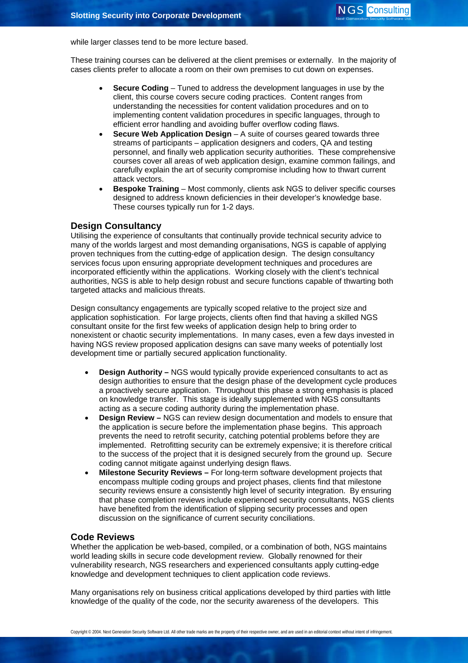while larger classes tend to be more lecture based.

These training courses can be delivered at the client premises or externally. In the majority of cases clients prefer to allocate a room on their own premises to cut down on expenses.

- **Secure Coding** Tuned to address the development languages in use by the client, this course covers secure coding practices. Content ranges from understanding the necessities for content validation procedures and on to implementing content validation procedures in specific languages, through to efficient error handling and avoiding buffer overflow coding flaws.
- **Secure Web Application Design**  A suite of courses geared towards three streams of participants – application designers and coders, QA and testing personnel, and finally web application security authorities. These comprehensive courses cover all areas of web application design, examine common failings, and carefully explain the art of security compromise including how to thwart current attack vectors.
- **Bespoke Training**  Most commonly, clients ask NGS to deliver specific courses designed to address known deficiencies in their developer's knowledge base. These courses typically run for 1-2 days.

#### **Design Consultancy**

Utilising the experience of consultants that continually provide technical security advice to many of the worlds largest and most demanding organisations, NGS is capable of applying proven techniques from the cutting-edge of application design. The design consultancy services focus upon ensuring appropriate development techniques and procedures are incorporated efficiently within the applications. Working closely with the client's technical authorities, NGS is able to help design robust and secure functions capable of thwarting both targeted attacks and malicious threats.

Design consultancy engagements are typically scoped relative to the project size and application sophistication. For large projects, clients often find that having a skilled NGS consultant onsite for the first few weeks of application design help to bring order to nonexistent or chaotic security implementations. In many cases, even a few days invested in having NGS review proposed application designs can save many weeks of potentially lost development time or partially secured application functionality.

- **Design Authority** NGS would typically provide experienced consultants to act as design authorities to ensure that the design phase of the development cycle produces a proactively secure application. Throughout this phase a strong emphasis is placed on knowledge transfer. This stage is ideally supplemented with NGS consultants acting as a secure coding authority during the implementation phase.
- **Design Review** NGS can review design documentation and models to ensure that the application is secure before the implementation phase begins. This approach prevents the need to retrofit security, catching potential problems before they are implemented. Retrofitting security can be extremely expensive; it is therefore critical to the success of the project that it is designed securely from the ground up. Secure coding cannot mitigate against underlying design flaws.
- **Milestone Security Reviews –** For long-term software development projects that encompass multiple coding groups and project phases, clients find that milestone security reviews ensure a consistently high level of security integration. By ensuring that phase completion reviews include experienced security consultants, NGS clients have benefited from the identification of slipping security processes and open discussion on the significance of current security conciliations.

#### **Code Reviews**

Whether the application be web-based, compiled, or a combination of both, NGS maintains world leading skills in secure code development review. Globally renowned for their vulnerability research, NGS researchers and experienced consultants apply cutting-edge knowledge and development techniques to client application code reviews.

Many organisations rely on business critical applications developed by third parties with little knowledge of the quality of the code, nor the security awareness of the developers. This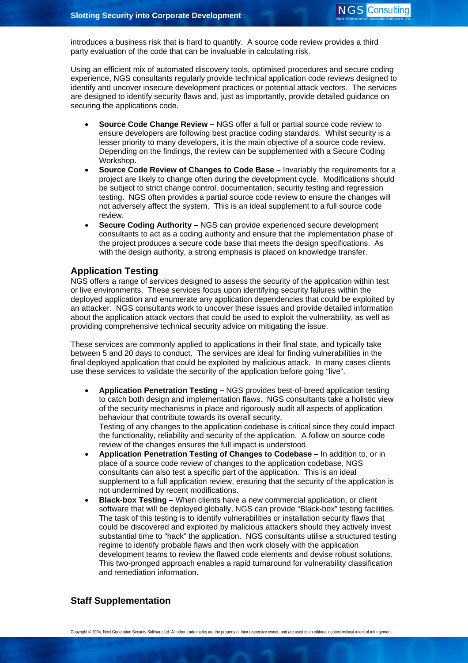introduces a business risk that is hard to quantify. A source code review provides a third party evaluation of the code that can be invaluable in calculating risk.

Using an efficient mix of automated discovery tools, optimised procedures and secure coding experience, NGS consultants regularly provide technical application code reviews designed to identify and uncover insecure development practices or potential attack vectors. The services are designed to identify security flaws and, just as importantly, provide detailed guidance on securing the applications code.

- **Source Code Change Review** NGS offer a full or partial source code review to ensure developers are following best practice coding standards. Whilst security is a lesser priority to many developers, it is the main objective of a source code review. Depending on the findings, the review can be supplemented with a Secure Coding Workshop.
- **Source Code Review of Changes to Code Base** Invariably the requirements for a project are likely to change often during the development cycle. Modifications should be subject to strict change control, documentation, security testing and regression testing. NGS often provides a partial source code review to ensure the changes will not adversely affect the system. This is an ideal supplement to a full source code review.
- **Secure Coding Authority** NGS can provide experienced secure development consultants to act as a coding authority and ensure that the implementation phase of the project produces a secure code base that meets the design specifications. As with the design authority, a strong emphasis is placed on knowledge transfer.

### **Application Testing**

NGS offers a range of services designed to assess the security of the application within test or live environments. These services focus upon identifying security failures within the deployed application and enumerate any application dependencies that could be exploited by an attacker. NGS consultants work to uncover these issues and provide detailed information about the application attack vectors that could be used to exploit the vulnerability, as well as providing comprehensive technical security advice on mitigating the issue.

These services are commonly applied to applications in their final state, and typically take between 5 and 20 days to conduct. The services are ideal for finding vulnerabilities in the final deployed application that could be exploited by malicious attack. In many cases clients use these services to validate the security of the application before going "live".

- **Application Penetration Testing** NGS provides best-of-breed application testing to catch both design and implementation flaws. NGS consultants take a holistic view of the security mechanisms in place and rigorously audit all aspects of application behaviour that contribute towards its overall security. Testing of any changes to the application codebase is critical since they could impact the functionality, reliability and security of the application. A follow on source code review of the changes ensures the full impact is understood.
- **Application Penetration Testing of Changes to Codebase** In addition to, or in place of a source code review of changes to the application codebase, NGS consultants can also test a specific part of the application. This is an ideal supplement to a full application review, ensuring that the security of the application is not undermined by recent modifications.
- **Black-box Testing –** When clients have a new commercial application, or client software that will be deployed globally, NGS can provide "Black-box" testing facilities. The task of this testing is to identify vulnerabilities or installation security flaws that could be discovered and exploited by malicious attackers should they actively invest substantial time to "hack" the application. NGS consultants utilise a structured testing regime to identify probable flaws and then work closely with the application development teams to review the flawed code elements and devise robust solutions. This two-pronged approach enables a rapid turnaround for vulnerability classification and remediation information.

## **Staff Supplementation**